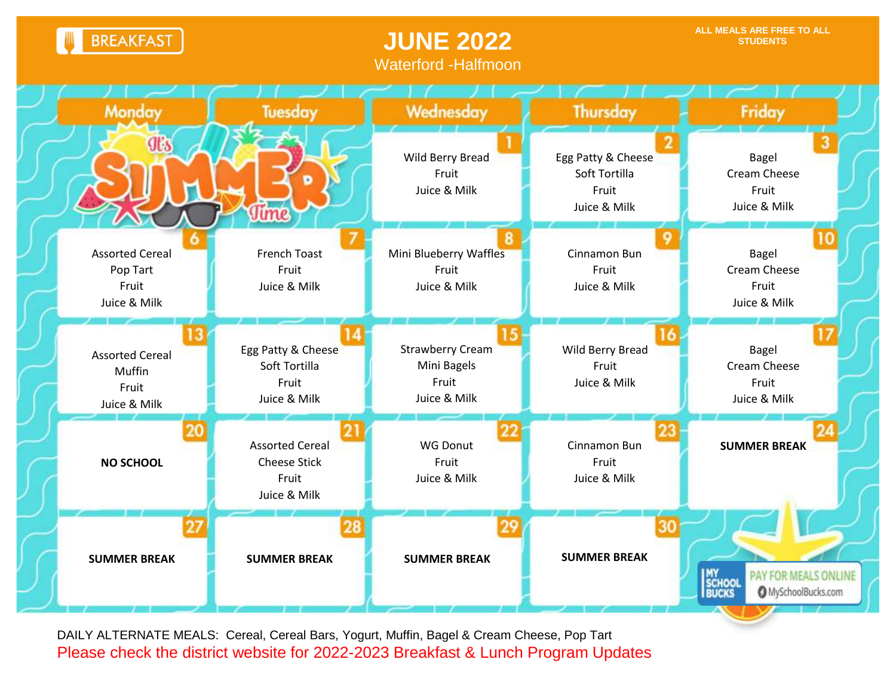**BREAKFAST** 

## **JUNE 2022** Waterford -Halfmoon



DAILY ALTERNATE MEALS: Cereal, Cereal Bars, Yogurt, Muffin, Bagel & Cream Cheese, Pop Tart Please check the district website for 2022-2023 Breakfast & Lunch Program Updates